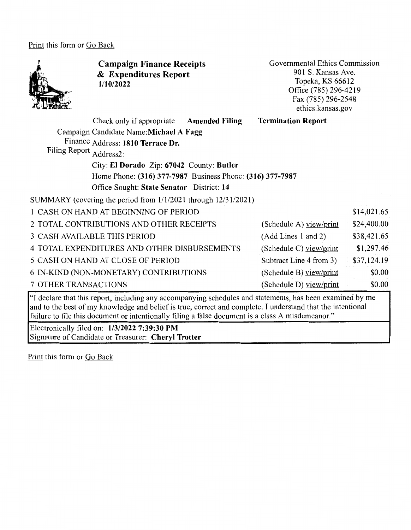Print this form or Go Back



**Campaign Finance Receipts**  & **Expenditures Report 1/10/2022** 

Governmental Ethics Commission 901 S. Kansas Ave. Topeka, KS 66612 Office (785) 296-4219 Fax (785) 296-2548 ethics.kansas.gov

| Check only if appropriate                                      | <b>Amended Filing</b>                                     | <b>Termination Report</b> |             |
|----------------------------------------------------------------|-----------------------------------------------------------|---------------------------|-------------|
| Campaign Candidate Name: Michael A Fagg                        |                                                           |                           |             |
| Finance Address: 1810 Terrace Dr.                              |                                                           |                           |             |
| Filing Report Address2:                                        |                                                           |                           |             |
|                                                                | City: El Dorado Zip: 67042 County: Butler                 |                           |             |
|                                                                | Home Phone: (316) 377-7987 Business Phone: (316) 377-7987 |                           |             |
| Office Sought: State Senator District: 14                      |                                                           |                           |             |
| SUMMARY (covering the period from 1/1/2021 through 12/31/2021) |                                                           |                           |             |
| 1 CASH ON HAND AT BEGINNING OF PERIOD                          |                                                           |                           | \$14,021.65 |
| 2 TOTAL CONTRIBUTIONS AND OTHER RECEIPTS                       |                                                           | (Schedule A) view/print   | \$24,400.00 |
| 3 CASH AVAILABLE THIS PERIOD                                   |                                                           | (Add Lines 1 and 2)       | \$38,421.65 |
| 4 TOTAL EXPENDITURES AND OTHER DISBURSEMENTS                   |                                                           | (Schedule C) view/print   | \$1,297.46  |
| 5 CASH ON HAND AT CLOSE OF PERIOD                              |                                                           | Subtract Line 4 from 3)   | \$37,124.19 |
| 6 IN-KIND (NON-MONETARY) CONTRIBUTIONS                         |                                                           | (Schedule B) view/print   | \$0.00      |
| 7 OTHER TRANSACTIONS                                           |                                                           | (Schedule D) $view/print$ | \$0.00      |

"I declare that this report, including any accompanying schedules and statements, has been examined by me and to the best of my knowledge and belief is true, correct and complete. I understand that the intentional failure to file this document or intentionally filing a false document is a class A misdemeanor."

Electronically filed on: **1/3/2022 7:39:30 PM**  Signature of Candidate or Treasurer: **Cheryl Trotter** 

Print this form or Go Back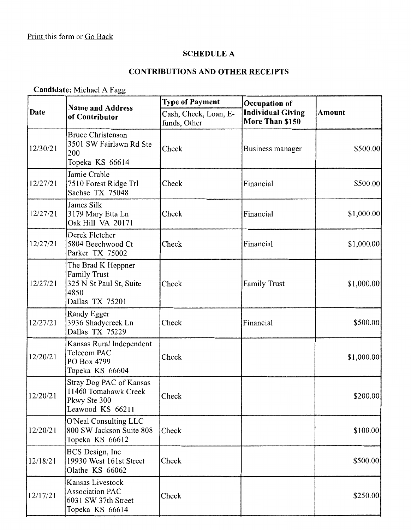# **SCHEDULE A**

# **CONTRIBUTIONS AND OTHER RECEIPTS**

**Candidate:** Michael A Fagg

|          | <b>Name and Address</b>                                                                         | <b>Type of Payment</b>                | Occupation of                               |            |
|----------|-------------------------------------------------------------------------------------------------|---------------------------------------|---------------------------------------------|------------|
| Date     | of Contributor                                                                                  | Cash, Check, Loan, E-<br>funds, Other | <b>Individual Giving</b><br>More Than \$150 | Amount     |
| 12/30/21 | <b>Bruce Christenson</b><br>3501 SW Fairlawn Rd Ste<br>200<br>Topeka KS 66614                   | Check                                 | Business manager                            | \$500.00   |
| 12/27/21 | Jamie Crable<br>7510 Forest Ridge Trl<br>Sachse TX 75048                                        | Check                                 | Financial                                   | \$500.00   |
| 12/27/21 | James Silk<br>3179 Mary Etta Ln<br>Oak Hill VA 20171                                            | Check                                 | Financial                                   | \$1,000.00 |
| 12/27/21 | Derek Fletcher<br>5804 Beechwood Ct<br>Parker TX 75002                                          | Check                                 | Financial                                   | \$1,000.00 |
| 12/27/21 | The Brad K Heppner<br><b>Family Trust</b><br>325 N St Paul St, Suite<br>4850<br>Dallas TX 75201 | Check                                 | <b>Family Trust</b>                         | \$1,000.00 |
| 12/27/21 | Randy Egger<br>3936 Shadycreek Ln<br>Dallas TX 75229                                            | Check                                 | Financial                                   | \$500.00   |
| 12/20/21 | Kansas Rural Independent<br>Telecom PAC<br>PO Box 4799<br>Topeka KS 66604                       | Check                                 |                                             | \$1,000.00 |
| 12/20/21 | Stray Dog PAC of Kansas<br>11460 Tomahawk Creek<br>Pkwy Ste 300<br>Leawood KS 66211             | Check                                 |                                             | \$200.00]  |
| 12/20/21 | O'Neal Consulting LLC<br>800 SW Jackson Suite 808<br>Topeka KS 66612                            | Check                                 |                                             | \$100.00]  |
| 12/18/21 | BCS Design, Inc<br>19930 West 161st Street<br>Olathe KS 66062                                   | Check                                 |                                             | \$500.00]  |
| 12/17/21 | Kansas Livestock<br><b>Association PAC</b><br>6031 SW 37th Street<br>Topeka KS 66614            | Check                                 |                                             | \$250.00   |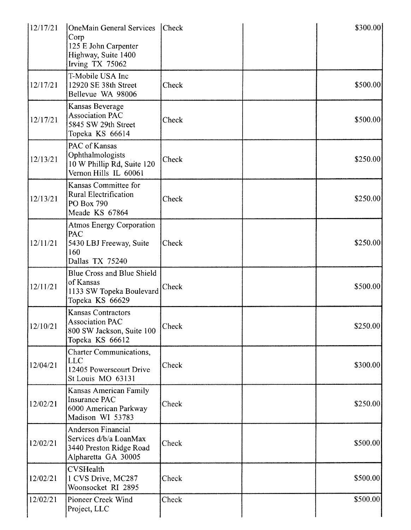| 12/17/21 | <b>OneMain General Services</b><br>Corp<br>125 E John Carpenter<br>Highway, Suite 1400<br>Irving TX 75062 | <b>Check</b> | \$300.00  |
|----------|-----------------------------------------------------------------------------------------------------------|--------------|-----------|
| 12/17/21 | T-Mobile USA Inc<br>12920 SE 38th Street<br>Bellevue WA 98006                                             | Check        | \$500.00  |
| 12/17/21 | Kansas Beverage<br><b>Association PAC</b><br>5845 SW 29th Street<br>Topeka KS 66614                       | Check        | \$500.00  |
| 12/13/21 | PAC of Kansas<br>Ophthalmologists<br>10 W Phillip Rd, Suite 120<br>Vernon Hills IL 60061                  | Check        | \$250.00  |
| 12/13/21 | Kansas Committee for<br>Rural Electrification<br>PO Box 790<br>Meade KS 67864                             | Check        | \$250.00] |
| 12/11/21 | <b>Atmos Energy Corporation</b><br>PAC<br>5430 LBJ Freeway, Suite<br>160<br>Dallas TX 75240               | Check        | \$250.00  |
| 12/11/21 | Blue Cross and Blue Shield<br>of Kansas<br>1133 SW Topeka Boulevard<br>Topeka KS 66629                    | Check        | \$500.00  |
| 12/10/21 | <b>Kansas Contractors</b><br><b>Association PAC</b><br>800 SW Jackson, Suite 100<br>Topeka KS 66612       | Check        | \$250.00  |
| 12/04/21 | Charter Communications,<br><b>LLC</b><br>12405 Powerscourt Drive<br>St Louis MO 63131                     | Check        | \$300.00  |
| 12/02/21 | Kansas American Family<br>Insurance PAC<br>6000 American Parkway<br>Madison WI 53783                      | Check        | \$250.00  |
| 12/02/21 | Anderson Financial<br>Services d/b/a LoanMax<br>3440 Preston Ridge Road<br>Alpharetta GA 30005            | Check        | \$500.00] |
| 12/02/21 | <b>CVSHealth</b><br>1 CVS Drive, MC287<br>Woonsocket RI 2895                                              | Check        | \$500.00  |
| 12/02/21 | Pioneer Creek Wind<br>Project, LLC                                                                        | Check        | \$500.00  |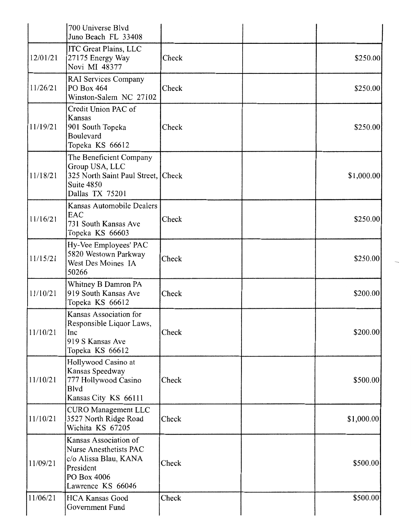|          | 700 Universe Blvd<br>Juno Beach FL 33408                                                                                  |       |            |
|----------|---------------------------------------------------------------------------------------------------------------------------|-------|------------|
| 12/01/21 | <b>ITC Great Plains, LLC</b><br>27175 Energy Way<br>Novi MI 48377                                                         | Check | \$250.00   |
| 11/26/21 | RAI Services Company<br>PO Box 464<br>Winston-Salem NC 27102                                                              | Check | \$250.00   |
| 11/19/21 | Credit Union PAC of<br>Kansas<br>901 South Topeka<br>Boulevard<br>Topeka KS 66612                                         | Check | \$250.00   |
| 11/18/21 | The Beneficient Company<br>Group USA, LLC<br>325 North Saint Paul Street, Check<br>Suite 4850<br>Dallas TX 75201          |       | \$1,000.00 |
| 11/16/21 | Kansas Automobile Dealers<br>EAC<br>731 South Kansas Ave<br>Topeka KS 66603                                               | Check | \$250.00   |
| 11/15/21 | Hy-Vee Employees' PAC<br>5820 Westown Parkway<br>West Des Moines IA<br>50266                                              | Check | \$250.00   |
| 11/10/21 | Whitney B Damron PA<br>919 South Kansas Ave<br>Topeka KS 66612                                                            | Check | \$200.00   |
| 11/10/21 | Kansas Association for<br>Responsible Liquor Laws,<br>Inc<br>919 S Kansas Ave<br>Topeka KS 66612                          | Check | \$200.00   |
| 11/10/21 | Hollywood Casino at<br>Kansas Speedway<br>777 Hollywood Casino<br><b>Blvd</b><br>Kansas City KS 66111                     | Check | \$500.00   |
| 11/10/21 | <b>CURO</b> Management LLC<br>3527 North Ridge Road<br>Wichita KS 67205                                                   | Check | \$1,000.00 |
| 11/09/21 | Kansas Association of<br>Nurse Anesthetists PAC<br>c/o Alissa Blau, KANA<br>President<br>PO Box 4006<br>Lawrence KS 66046 | Check | \$500.00   |
| 11/06/21 | <b>HCA Kansas Good</b><br>Government Fund                                                                                 | Check | \$500.00   |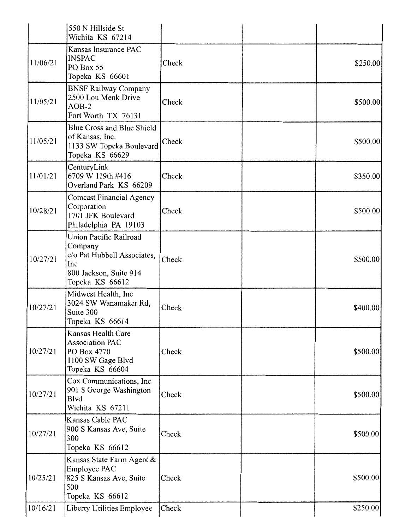|          | 550 N Hillside St<br>Wichita KS 67214                                                                                |       |           |
|----------|----------------------------------------------------------------------------------------------------------------------|-------|-----------|
| 11/06/21 | Kansas Insurance PAC<br><b>INSPAC</b><br>PO Box 55<br>Topeka KS 66601                                                | Check | \$250.00] |
| 11/05/21 | <b>BNSF Railway Company</b><br>2500 Lou Menk Drive<br>$AOB-2$<br>Fort Worth TX 76131                                 | Check | \$500.00  |
| 11/05/21 | Blue Cross and Blue Shield<br>of Kansas, Inc.<br>1133 SW Topeka Boulevard<br>Topeka KS 66629                         | Check | \$500.00  |
| 11/01/21 | CenturyLink<br>6709 W 119th #416<br>Overland Park KS 66209                                                           | Check | \$350.00  |
| 10/28/21 | <b>Comcast Financial Agency</b><br>Corporation<br>1701 JFK Boulevard<br>Philadelphia PA 19103                        | Check | \$500.00  |
| 10/27/21 | Union Pacific Railroad<br>Company<br>c/o Pat Hubbell Associates,<br>Inc<br>800 Jackson, Suite 914<br>Topeka KS 66612 | Check | \$500.00  |
| 10/27/21 | Midwest Health, Inc<br>3024 SW Wanamaker Rd,<br>Suite 300<br>Topeka KS 66614                                         | Check | \$400.00] |
| 10/27/21 | Kansas Health Care<br><b>Association PAC</b><br>PO Box 4770<br>1100 SW Gage Blvd<br>Topeka KS 66604                  | Check | \$500.00  |
| 10/27/21 | Cox Communications, Inc<br>901 S George Washington<br><b>B</b> lvd<br>Wichita KS 67211                               | Check | \$500.00  |
| 10/27/21 | Kansas Cable PAC<br>900 S Kansas Ave, Suite<br>300<br>Topeka KS 66612                                                | Check | \$500.00  |
| 10/25/21 | Kansas State Farm Agent &<br>Employee PAC<br>825 S Kansas Ave, Suite<br>500<br>Topeka KS 66612                       | Check | \$500.00  |
| 10/16/21 | Liberty Utilities Employee                                                                                           | Check | \$250.00  |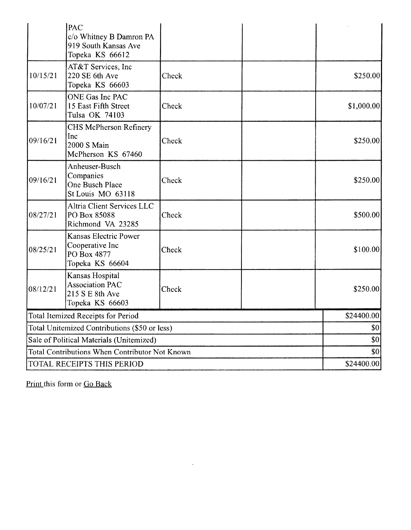|                                                | <b>PAC</b><br>c/o Whitney B Damron PA<br>919 South Kansas Ave                   |       |             |
|------------------------------------------------|---------------------------------------------------------------------------------|-------|-------------|
| 10/15/21                                       | Topeka KS 66612<br>AT&T Services, Inc<br>220 SE 6th Ave<br>Topeka KS 66603      | Check | \$250.00    |
| 10/07/21                                       | ONE Gas Inc PAC<br>15 East Fifth Street<br>Tulsa OK 74103                       | Check | \$1,000.00] |
| 09/16/21                                       | <b>CHS McPherson Refinery</b><br>Inc<br>2000 S Main<br>McPherson KS 67460       | Check | \$250.00    |
| 09/16/21                                       | Anheuser-Busch<br>Companies<br>One Busch Place<br>St Louis MO 63118             | Check | \$250.00    |
| 08/27/21                                       | Altria Client Services LLC<br>PO Box 85088<br>Richmond VA 23285                 | Check | \$500.00    |
| 08/25/21                                       | Kansas Electric Power<br>Cooperative Inc<br>PO Box 4877<br>Topeka KS 66604      | Check | \$100.00]   |
| 08/12/21                                       | Kansas Hospital<br><b>Association PAC</b><br>215 S E 8th Ave<br>Topeka KS 66603 | Check | \$250.00    |
|                                                | Total Itemized Receipts for Period                                              |       | \$24400.00  |
| Total Unitemized Contributions (\$50 or less)  |                                                                                 |       | \$0         |
| Sale of Political Materials (Unitemized)       |                                                                                 |       | \$0         |
| Total Contributions When Contributor Not Known |                                                                                 |       | \$0         |
| TOTAL RECEIPTS THIS PERIOD                     |                                                                                 |       | \$24400.00  |

 $\mathcal{L}^{\text{max}}_{\text{max}}$  . The  $\mathcal{L}^{\text{max}}_{\text{max}}$ 

Print this form or Go Back